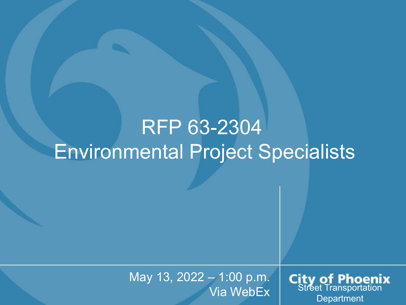#### RFP 63-2304 Environmental Project Specialists

May 13, 2022 – 1:00 p.m.

- 1:00 p.m. **City of Phoenix**<br>Via WebEx Street Transportation **Department**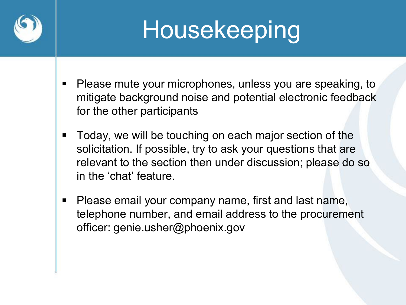

# Housekeeping

- **Please mute your microphones, unless you are speaking, to** mitigate background noise and potential electronic feedback for the other participants
- Today, we will be touching on each major section of the solicitation. If possible, try to ask your questions that are relevant to the section then under discussion; please do so in the 'chat' feature.
- **Please email your company name, first and last name,** telephone number, and email address to the procurement officer: genie.usher@phoenix.gov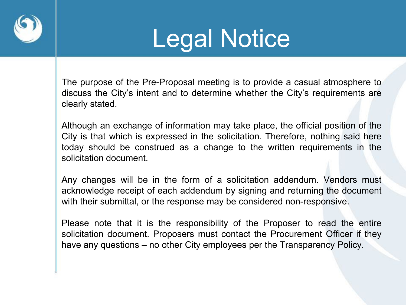

## Legal Notice

The purpose of the Pre-Proposal meeting is to provide a casual atmosphere to discuss the City's intent and to determine whether the City's requirements are clearly stated.

Although an exchange of information may take place, the official position of the City is that which is expressed in the solicitation. Therefore, nothing said here today should be construed as a change to the written requirements in the solicitation document.

Any changes will be in the form of a solicitation addendum. Vendors must acknowledge receipt of each addendum by signing and returning the document with their submittal, or the response may be considered non-responsive.

Please note that it is the responsibility of the Proposer to read the entire solicitation document. Proposers must contact the Procurement Officer if they have any questions – no other City employees per the Transparency Policy.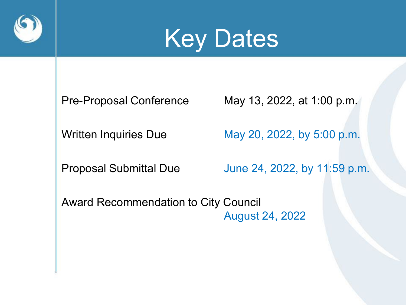



Pre-Proposal Conference May 13, 2022, at 1:00 p.m.

Written Inquiries Due May 20, 2022, by 5:00 p.m.

Proposal Submittal Due June 24, 2022, by 11:59 p.m.

Award Recommendation to City Council August 24, 2022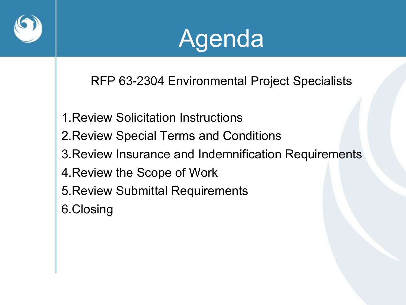



RFP 63-2304 Environmental Project Specialists

- 1.Review Solicitation Instructions
- 2.Review Special Terms and Conditions
- 3.Review Insurance and Indemnification Requirements
- 4.Review the Scope of Work
- 5.Review Submittal Requirements
- 6.Closing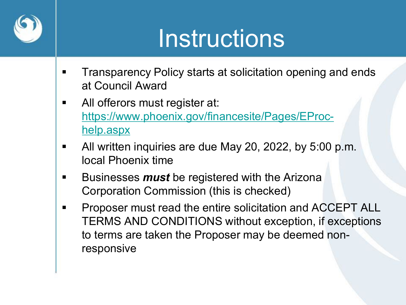

## Instructions

- **Transparency Policy starts at solicitation opening and ends** at Council Award
- **All offerors must register at:** [https://www.phoenix.gov/financesite/Pages/EProc](https://www.phoenix.gov/financesite/Pages/EProc-help.aspx)help.aspx
- All written inquiries are due May 20, 2022, by 5:00 p.m. local Phoenix time
- **Businesses** *must* be registered with the Arizona Corporation Commission (this is checked)
- **Proposer must read the entire solicitation and ACCEPT ALL** TERMS AND CONDITIONS without exception, if exceptions to terms are taken the Proposer may be deemed nonresponsive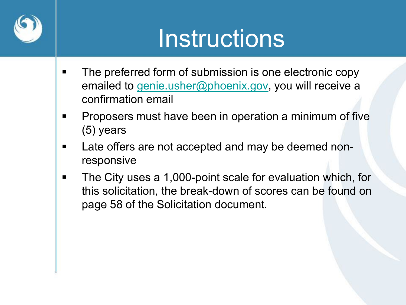

## Instructions

- **The preferred form of submission is one electronic copy** emailed to [genie.usher@phoenix.gov,](mailto:genie.usher@phoenix.gov) you will receive a confirmation email
- **Proposers must have been in operation a minimum of five** (5) years
- **Late offers are not accepted and may be deemed non**responsive
- **The City uses a 1,000-point scale for evaluation which, for** this solicitation, the break-down of scores can be found on page 58 of the Solicitation document.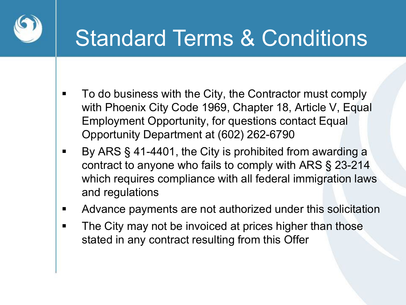

#### Standard Terms & Conditions

- **To do business with the City, the Contractor must comply** with Phoenix City Code 1969, Chapter 18, Article V, Equal Employment Opportunity, for questions contact Equal Opportunity Department at (602) 262-6790
- By ARS § 41-4401, the City is prohibited from awarding a contract to anyone who fails to comply with ARS § 23-214 which requires compliance with all federal immigration laws and regulations
- Advance payments are not authorized under this solicitation
- **The City may not be invoiced at prices higher than those** stated in any contract resulting from this Offer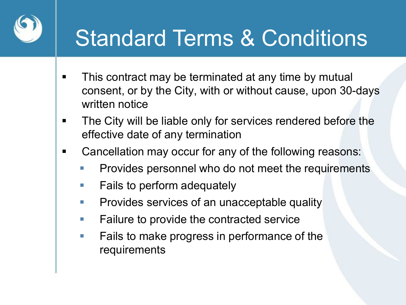

#### Standard Terms & Conditions

- This contract may be terminated at any time by mutual consent, or by the City, with or without cause, upon 30-days written notice
- **The City will be liable only for services rendered before the** effective date of any termination
- Cancellation may occur for any of the following reasons:
	- Provides personnel who do not meet the requirements
	- **Fails to perform adequately**
	- **Provides services of an unacceptable quality**
	- **Failure to provide the contracted service**
	- **Fails to make progress in performance of the** requirements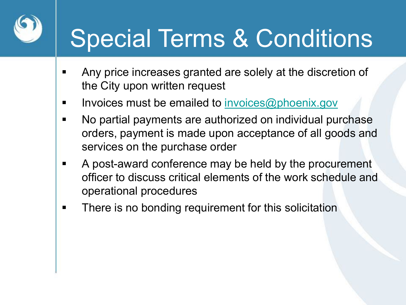## Special Terms & Conditions

- Any price increases granted are solely at the discretion of the City upon written request
- **Invoices must be emailed to invoices @phoenix.gov**
- No partial payments are authorized on individual purchase orders, payment is made upon acceptance of all goods and services on the purchase order
- A post-award conference may be held by the procurement officer to discuss critical elements of the work schedule and operational procedures
- **There is no bonding requirement for this solicitation**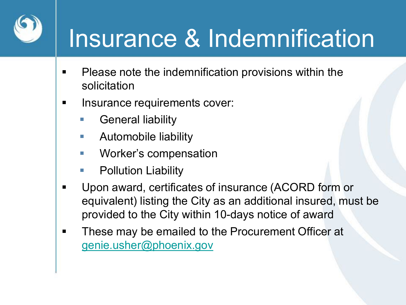## Insurance & Indemnification

- **Please note the indemnification provisions within the** solicitation
- **Insurance requirements cover:** 
	- General liability
	- Automobile liability
	- **Norker's compensation**
	- Pollution Liability
- Upon award, certificates of insurance (ACORD form or equivalent) listing the City as an additional insured, must be provided to the City within 10-days notice of award
- **These may be emailed to the Procurement Officer at** [genie.usher@phoenix.gov](mailto:procurement@phoenix.gov)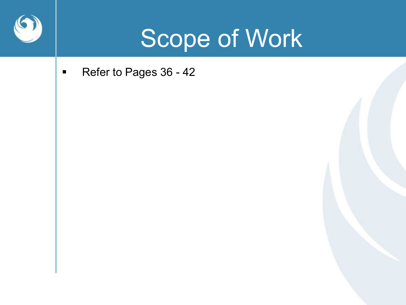

#### Scope of Work

■ Refer to Pages 36 - 42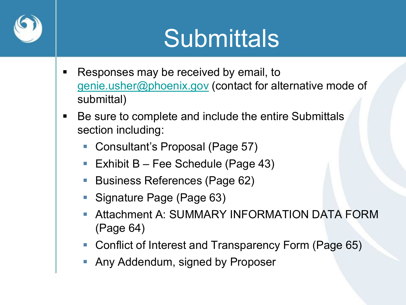

## **Submittals**

- Responses may be received by email, to [genie.usher@phoenix.gov](mailto:genie.usher@phoenix.gov) (contact for alternative mode of submittal)
- Be sure to complete and include the entire Submittals section including:
	- Consultant's Proposal (Page 57)
	- Exhibit  $B Fee$  Schedule (Page 43)
	- Business References (Page 62)
	- Signature Page (Page 63)
	- Attachment A: SUMMARY INFORMATION DATA FORM (Page 64)
	- Conflict of Interest and Transparency Form (Page 65)
	- **Any Addendum, signed by Proposer**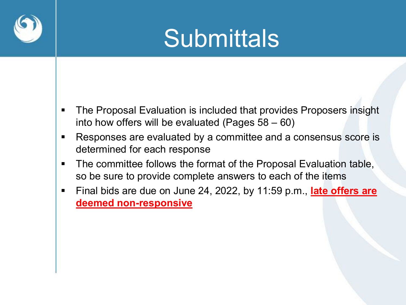

## **Submittals**

- **The Proposal Evaluation is included that provides Proposers insight** into how offers will be evaluated (Pages 58 – 60)
- Responses are evaluated by a committee and a consensus score is determined for each response
- **The committee follows the format of the Proposal Evaluation table,** so be sure to provide complete answers to each of the items
- Final bids are due on June 24, 2022, by 11:59 p.m., **late offers are deemed non-responsive**